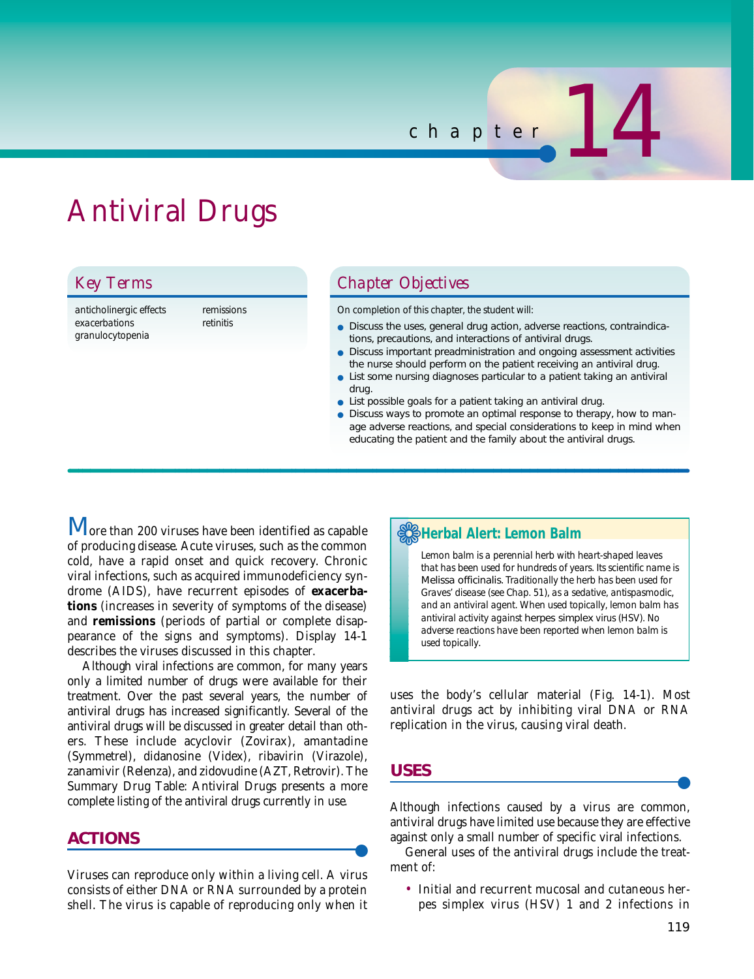*chapter* 14

# Antiviral Drugs

*anticholinergic effects exacerbations granulocytopenia*

*remissions retinitis*

# *Key Terms Chapter Objectives*

*On completion of this chapter, the student will:*

- Discuss the uses, general drug action, adverse reactions, contraindications, precautions, and interactions of antiviral drugs.
- Discuss important preadministration and ongoing assessment activities the nurse should perform on the patient receiving an antiviral drug.
- List some nursing diagnoses particular to a patient taking an antiviral drug.
- List possible goals for a patient taking an antiviral drug.
- Discuss ways to promote an optimal response to therapy, how to manage adverse reactions, and special considerations to keep in mind when educating the patient and the family about the antiviral drugs.

More than 200 viruses have been identified as capable of producing disease. Acute viruses, such as the common cold, have a rapid onset and quick recovery. Chronic viral infections, such as acquired immunodeficiency syndrome (AIDS), have recurrent episodes of **exacerbations** (increases in severity of symptoms of the disease) and **remissions** (periods of partial or complete disappearance of the signs and symptoms). Display 14-1 describes the viruses discussed in this chapter.

Although viral infections are common, for many years only a limited number of drugs were available for their treatment. Over the past several years, the number of antiviral drugs has increased significantly. Several of the antiviral drugs will be discussed in greater detail than others. These include acyclovir (Zovirax), amantadine (Symmetrel), didanosine (Videx), ribavirin (Virazole), zanamivir (Relenza), and zidovudine (AZT, Retrovir). The Summary Drug Table: Antiviral Drugs presents a more complete listing of the antiviral drugs currently in use.

# **ACTIONS** ●

Viruses can reproduce only within a living cell. A virus consists of either DNA or RNA surrounded by a protein shell. The virus is capable of reproducing only when it

# *S*EHerbal Alert: Lemon Balm

*Lemon balm is a perennial herb with heart-shaped leaves that has been used for hundreds of years. Its scientific name is* Melissa officinalis. *Traditionally the herb has been used for Graves' disease (see Chap. 51), as a sedative, antispasmodic, and an antiviral agent. When used topically, lemon balm has antiviral activity against* herpes simplex *virus (HSV). No adverse reactions have been reported when lemon balm is used topically.*

uses the body's cellular material (Fig. 14-1). Most antiviral drugs act by inhibiting viral DNA or RNA replication in the virus, causing viral death.

# **USES** ●

Although infections caused by a virus are common, antiviral drugs have limited use because they are effective against only a small number of specific viral infections.

General uses of the antiviral drugs include the treatment of:

• Initial and recurrent mucosal and cutaneous herpes simplex virus (HSV) 1 and 2 infections in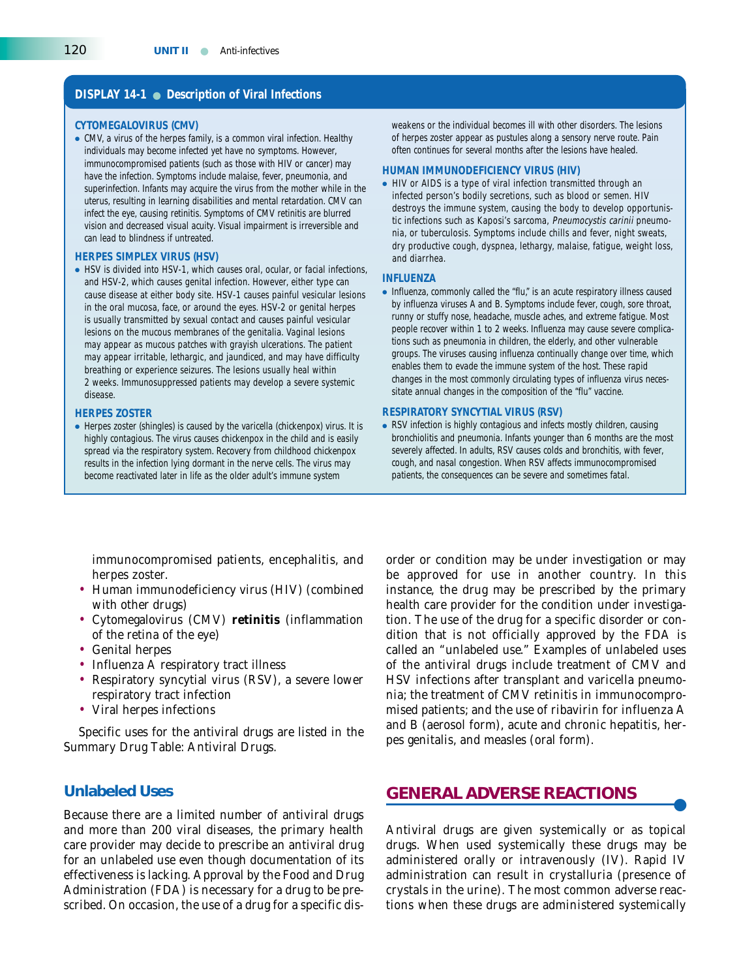### **DISPLAY 14-1** ● **Description of Viral Infections**

#### **CYTOMEGALOVIRUS (CMV)**

• CMV, a virus of the herpes family, is a common viral infection. Healthy individuals may become infected yet have no symptoms. However, immunocompromised patients (such as those with HIV or cancer) may have the infection. Symptoms include malaise, fever, pneumonia, and superinfection. Infants may acquire the virus from the mother while in the uterus, resulting in learning disabilities and mental retardation. CMV can infect the eye, causing retinitis. Symptoms of CMV retinitis are blurred vision and decreased visual acuity. Visual impairment is irreversible and can lead to blindness if untreated.

#### **HERPES SIMPLEX VIRUS (HSV)**

● HSV is divided into HSV-1, which causes oral, ocular, or facial infections, and HSV-2, which causes genital infection. However, either type can cause disease at either body site. HSV-1 causes painful vesicular lesions in the oral mucosa, face, or around the eyes. HSV-2 or genital herpes is usually transmitted by sexual contact and causes painful vesicular lesions on the mucous membranes of the genitalia. Vaginal lesions may appear as mucous patches with grayish ulcerations. The patient may appear irritable, lethargic, and jaundiced, and may have difficulty breathing or experience seizures. The lesions usually heal within 2 weeks. Immunosuppressed patients may develop a severe systemic disease.

#### **HERPES ZOSTER**

● Herpes zoster (shingles) is caused by the varicella (chickenpox) virus. It is highly contagious. The virus causes chickenpox in the child and is easily spread via the respiratory system. Recovery from childhood chickenpox results in the infection lying dormant in the nerve cells. The virus may become reactivated later in life as the older adult's immune system

weakens or the individual becomes ill with other disorders. The lesions of herpes zoster appear as pustules along a sensory nerve route. Pain often continues for several months after the lesions have healed.

#### **HUMAN IMMUNODEFICIENCY VIRUS (HIV)**

• HIV or AIDS is a type of viral infection transmitted through an infected person's bodily secretions, such as blood or semen. HIV destroys the immune system, causing the body to develop opportunistic infections such as Kaposi's sarcoma, Pneumocystis carinii pneumonia, or tuberculosis. Symptoms include chills and fever, night sweats, dry productive cough, dyspnea, lethargy, malaise, fatigue, weight loss, and diarrhea.

#### **INFLUENZA**

● Influenza, commonly called the "flu," is an acute respiratory illness caused by influenza viruses A and B. Symptoms include fever, cough, sore throat, runny or stuffy nose, headache, muscle aches, and extreme fatigue. Most people recover within 1 to 2 weeks. Influenza may cause severe complications such as pneumonia in children, the elderly, and other vulnerable groups. The viruses causing influenza continually change over time, which enables them to evade the immune system of the host. These rapid changes in the most commonly circulating types of influenza virus necessitate annual changes in the composition of the "flu" vaccine.

#### **RESPIRATORY SYNCYTIAL VIRUS (RSV)**

● RSV infection is highly contagious and infects mostly children, causing bronchiolitis and pneumonia. Infants younger than 6 months are the most severely affected. In adults, RSV causes colds and bronchitis, with fever, cough, and nasal congestion. When RSV affects immunocompromised patients, the consequences can be severe and sometimes fatal.

immunocompromised patients, encephalitis, and herpes zoster.

- Human immunodeficiency virus (HIV) (combined with other drugs)
- Cytomegalovirus (CMV) **retinitis** (inflammation of the retina of the eye)
- Genital herpes
- Influenza A respiratory tract illness
- Respiratory syncytial virus (RSV), a severe lower respiratory tract infection
- Viral herpes infections

Specific uses for the antiviral drugs are listed in the Summary Drug Table: Antiviral Drugs.

# **Unlabeled Uses**

Because there are a limited number of antiviral drugs and more than 200 viral diseases, the primary health care provider may decide to prescribe an antiviral drug for an unlabeled use even though documentation of its effectiveness is lacking. Approval by the Food and Drug Administration (FDA) is necessary for a drug to be prescribed. On occasion, the use of a drug for a specific disorder or condition may be under investigation or may be approved for use in another country. In this instance, the drug may be prescribed by the primary health care provider for the condition under investigation. The use of the drug for a specific disorder or condition that is not officially approved by the FDA is called an "unlabeled use." Examples of unlabeled uses of the antiviral drugs include treatment of CMV and HSV infections after transplant and varicella pneumonia; the treatment of CMV retinitis in immunocompromised patients; and the use of ribavirin for influenza A and B (aerosol form), acute and chronic hepatitis, herpes genitalis, and measles (oral form).

# **GENERAL ADVERSE REACTIONS**

Antiviral drugs are given systemically or as topical drugs. When used systemically these drugs may be administered orally or intravenously (IV). Rapid IV administration can result in crystalluria (presence of crystals in the urine). The most common adverse reactions when these drugs are administered systemically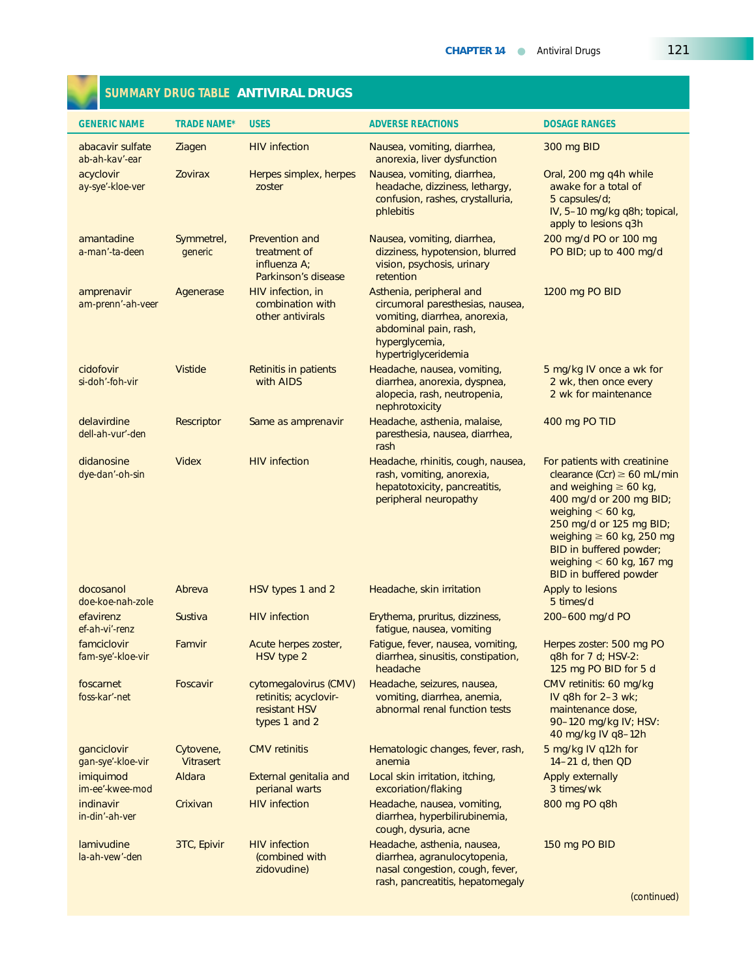# **SUMMARY DRUG TABLE ANTIVIRAL DRUGS**

| <b>GENERIC NAME</b>                | <b>TRADE NAME*</b>            | <b>USES</b>                                                                      | <b>ADVERSE REACTIONS</b>                                                                                                                                         | <b>DOSAGE RANGES</b>                                                                                                                                                                                                                                                                                   |
|------------------------------------|-------------------------------|----------------------------------------------------------------------------------|------------------------------------------------------------------------------------------------------------------------------------------------------------------|--------------------------------------------------------------------------------------------------------------------------------------------------------------------------------------------------------------------------------------------------------------------------------------------------------|
| abacavir sulfate<br>ab-ah-kav′-ear | Ziagen                        | <b>HIV</b> infection                                                             | Nausea, vomiting, diarrhea,<br>anorexia, liver dysfunction                                                                                                       | 300 mg BID                                                                                                                                                                                                                                                                                             |
| acyclovir<br>ay-sye'-kloe-ver      | Zovirax                       | Herpes simplex, herpes<br>zoster                                                 | Nausea, vomiting, diarrhea,<br>headache, dizziness, lethargy,<br>confusion, rashes, crystalluria,<br>phlebitis                                                   | Oral, 200 mg q4h while<br>awake for a total of<br>5 capsules/d;<br>IV, 5-10 mg/kg q8h; topical,<br>apply to lesions q3h                                                                                                                                                                                |
| amantadine<br>a-man'-ta-deen       | Symmetrel,<br>generic         | Prevention and<br>treatment of<br>influenza A;<br>Parkinson's disease            | Nausea, vomiting, diarrhea,<br>dizziness, hypotension, blurred<br>vision, psychosis, urinary<br>retention                                                        | 200 mg/d PO or 100 mg<br>PO BID; up to 400 mg/d                                                                                                                                                                                                                                                        |
| amprenavir<br>am-prenn'-ah-veer    | Agenerase                     | HIV infection, in<br>combination with<br>other antivirals                        | Asthenia, peripheral and<br>circumoral paresthesias, nausea,<br>vomiting, diarrhea, anorexia,<br>abdominal pain, rash,<br>hyperglycemia,<br>hypertriglyceridemia | 1200 mg PO BID                                                                                                                                                                                                                                                                                         |
| cidofovir<br>si-doh'-foh-vir       | <b>Vistide</b>                | <b>Retinitis in patients</b><br>with AIDS                                        | Headache, nausea, vomiting,<br>diarrhea, anorexia, dyspnea,<br>alopecia, rash, neutropenia,<br>nephrotoxicity                                                    | 5 mg/kg IV once a wk for<br>2 wk, then once every<br>2 wk for maintenance                                                                                                                                                                                                                              |
| delavirdine<br>dell-ah-vur'-den    | Rescriptor                    | Same as amprenavir                                                               | Headache, asthenia, malaise,<br>paresthesia, nausea, diarrhea,<br>rash                                                                                           | 400 mg PO TID                                                                                                                                                                                                                                                                                          |
| didanosine<br>dye-dan'-oh-sin      | <b>Videx</b>                  | <b>HIV</b> infection                                                             | Headache, rhinitis, cough, nausea,<br>rash, vomiting, anorexia,<br>hepatotoxicity, pancreatitis,<br>peripheral neuropathy                                        | For patients with creatinine<br>clearance (Ccr) $\geq$ 60 mL/min<br>and weighing $\geq 60$ kg,<br>400 mg/d or 200 mg BID;<br>weighing $< 60$ kg,<br>250 mg/d or 125 mg BID;<br>weighing $\geq 60$ kg, 250 mg<br>BID in buffered powder;<br>weighing $<$ 60 kg, 167 mg<br><b>BID in buffered powder</b> |
| docosanol<br>doe-koe-nah-zole      | Abreva                        | HSV types 1 and 2                                                                | Headache, skin irritation                                                                                                                                        | Apply to lesions<br>5 times/d                                                                                                                                                                                                                                                                          |
| efavirenz<br>ef-ah-vi'-renz        | <b>Sustiva</b>                | <b>HIV</b> infection                                                             | Erythema, pruritus, dizziness,<br>fatigue, nausea, vomiting                                                                                                      | 200-600 mg/d PO                                                                                                                                                                                                                                                                                        |
| famciclovir<br>fam-sye'-kloe-vir   | Famvir                        | Acute herpes zoster,<br>HSV type 2                                               | Fatigue, fever, nausea, vomiting,<br>diarrhea, sinusitis, constipation,<br>headache                                                                              | Herpes zoster: 500 mg PO<br>q8h for 7 d; HSV-2:<br>125 mg PO BID for 5 d                                                                                                                                                                                                                               |
| foscarnet<br>foss-kar'-net         | Foscavir                      | cytomegalovirus (CMV)<br>retinitis; acyclovir-<br>resistant HSV<br>types 1 and 2 | Headache, seizures, nausea,<br>vomiting, diarrhea, anemia,<br>abnormal renal function tests                                                                      | CMV retinitis: 60 mg/kg<br>IV g8h for $2-3$ wk;<br>maintenance dose,<br>90-120 mg/kg IV; HSV:<br>40 mg/kg IV q8-12h                                                                                                                                                                                    |
| ganciclovir<br>gan-sye'-kloe-vir   | Cytovene,<br><b>Vitrasert</b> | <b>CMV</b> retinitis                                                             | Hematologic changes, fever, rash,<br>anemia                                                                                                                      | 5 mg/kg IV q12h for<br>$14-21$ d, then QD                                                                                                                                                                                                                                                              |
| imiquimod<br>im-ee'-kwee-mod       | Aldara                        | External genitalia and<br>perianal warts                                         | Local skin irritation, itching,<br>excoriation/flaking                                                                                                           | Apply externally<br>3 times/wk                                                                                                                                                                                                                                                                         |
| indinavir<br>in-din'-ah-ver        | Crixivan                      | <b>HIV</b> infection                                                             | Headache, nausea, vomiting,<br>diarrhea, hyperbilirubinemia,<br>cough, dysuria, acne                                                                             | 800 mg PO q8h                                                                                                                                                                                                                                                                                          |
| lamivudine<br>la-ah-vew'-den       | 3TC, Epivir                   | <b>HIV</b> infection<br>(combined with<br>zidovudine)                            | Headache, asthenia, nausea,<br>diarrhea, agranulocytopenia,<br>nasal congestion, cough, fever,<br>rash, pancreatitis, hepatomegaly                               | 150 mg PO BID                                                                                                                                                                                                                                                                                          |

*(continued)*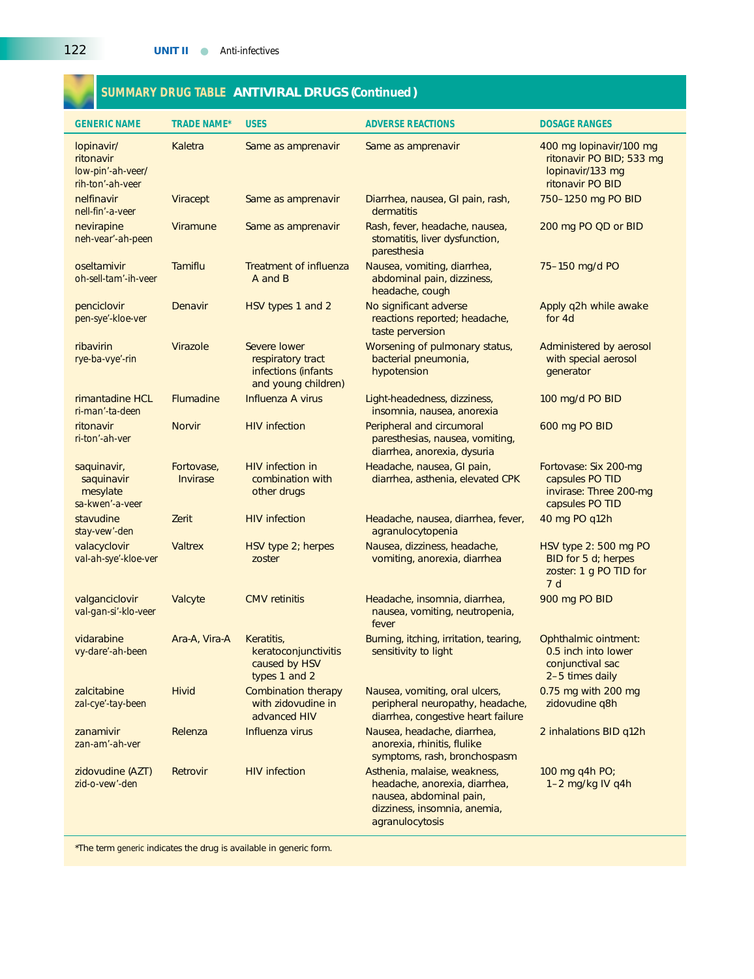# **SUMMARY DRUG TABLE ANTIVIRAL DRUGS (***Continued***)**

| <b>GENERIC NAME</b>                                              | <b>TRADE NAME*</b>     | <b>USES</b>                                                                     | <b>ADVERSE REACTIONS</b>                                                                                                                    | <b>DOSAGE RANGES</b>                                                                        |
|------------------------------------------------------------------|------------------------|---------------------------------------------------------------------------------|---------------------------------------------------------------------------------------------------------------------------------------------|---------------------------------------------------------------------------------------------|
| lopinavir/<br>ritonavir<br>low-pin'-ah-veer/<br>rih-ton'-ah-veer | Kaletra                | Same as amprenavir                                                              | Same as amprenavir                                                                                                                          | 400 mg lopinavir/100 mg<br>ritonavir PO BID; 533 mg<br>lopinavir/133 mg<br>ritonavir PO BID |
| nelfinavir<br>nell-fin'-a-veer                                   | Viracept               | Same as amprenavir                                                              | Diarrhea, nausea, GI pain, rash,<br>dermatitis                                                                                              | 750-1250 mg PO BID                                                                          |
| nevirapine<br>neh-vear'-ah-peen                                  | Viramune               | Same as amprenavir                                                              | Rash, fever, headache, nausea,<br>stomatitis, liver dysfunction,<br>paresthesia                                                             | 200 mg PO QD or BID                                                                         |
| oseltamivir<br>oh-sell-tam'-ih-veer                              | <b>Tamiflu</b>         | <b>Treatment of influenza</b><br>A and B                                        | Nausea, vomiting, diarrhea,<br>abdominal pain, dizziness,<br>headache, cough                                                                | 75-150 mg/d PO                                                                              |
| penciclovir<br>pen-sye'-kloe-ver                                 | Denavir                | HSV types 1 and 2                                                               | No significant adverse<br>reactions reported; headache,<br>taste perversion                                                                 | Apply q2h while awake<br>for 4d                                                             |
| ribavirin<br>rye-ba-vye'-rin                                     | <b>Virazole</b>        | Severe lower<br>respiratory tract<br>infections (infants<br>and young children) | Worsening of pulmonary status,<br>bacterial pneumonia,<br>hypotension                                                                       | Administered by aerosol<br>with special aerosol<br>generator                                |
| rimantadine HCL<br>ri-man'-ta-deen                               | <b>Flumadine</b>       | Influenza A virus                                                               | Light-headedness, dizziness,<br>insomnia, nausea, anorexia                                                                                  | 100 mg/d PO BID                                                                             |
| ritonavir<br>ri-ton'-ah-ver                                      | <b>Norvir</b>          | <b>HIV</b> infection                                                            | Peripheral and circumoral<br>paresthesias, nausea, vomiting,<br>diarrhea, anorexia, dysuria                                                 | 600 mg PO BID                                                                               |
| saquinavir,<br>saquinavir<br>mesylate<br>sa-kwen'-a-veer         | Fortovase,<br>Invirase | <b>HIV</b> infection in<br>combination with<br>other drugs                      | Headache, nausea, GI pain,<br>diarrhea, asthenia, elevated CPK                                                                              | Fortovase: Six 200-mg<br>capsules PO TID<br>invirase: Three 200-mq<br>capsules PO TID       |
| stavudine<br>stay-vew'-den                                       | Zerit                  | <b>HIV</b> infection                                                            | Headache, nausea, diarrhea, fever,<br>agranulocytopenia                                                                                     | 40 mg PO g12h                                                                               |
| valacyclovir<br>val-ah-sye'-kloe-ver                             | <b>Valtrex</b>         | HSV type 2; herpes<br>zoster                                                    | Nausea, dizziness, headache,<br>vomiting, anorexia, diarrhea                                                                                | HSV type 2: 500 mg PO<br>BID for 5 d; herpes<br>zoster: 1 g PO TID for<br>7d                |
| valganciclovir<br>val-gan-si'-klo-veer                           | Valcyte                | <b>CMV</b> retinitis                                                            | Headache, insomnia, diarrhea,<br>nausea, vomiting, neutropenia,<br>fever                                                                    | 900 mg PO BID                                                                               |
| vidarabine<br>vy-dare'-ah-been                                   | Ara-A, Vira-A          | Keratitis,<br>keratoconjunctivitis<br>caused by HSV<br>types 1 and 2            | Burning, itching, irritation, tearing,<br>sensitivity to light                                                                              | Ophthalmic ointment:<br>0.5 inch into lower<br>conjunctival sac<br>2-5 times daily          |
| zalcitabine<br>zal-cye'-tay-been                                 | <b>Hivid</b>           | <b>Combination therapy</b><br>with zidovudine in<br>advanced HIV                | Nausea, vomiting, oral ulcers,<br>peripheral neuropathy, headache,<br>diarrhea, congestive heart failure                                    | 0.75 mg with 200 mg<br>zidovudine q8h                                                       |
| zanamivir<br>zan-am'-ah-ver                                      | Relenza                | Influenza virus                                                                 | Nausea, headache, diarrhea,<br>anorexia, rhinitis, flulike<br>symptoms, rash, bronchospasm                                                  | 2 inhalations BID q12h                                                                      |
| zidovudine (AZT)<br>zid-o-vew'-den                               | Retrovir               | <b>HIV</b> infection                                                            | Asthenia, malaise, weakness,<br>headache, anorexia, diarrhea,<br>nausea, abdominal pain,<br>dizziness, insomnia, anemia,<br>agranulocytosis | 100 mg q4h PO;<br>$1-2$ mg/kg IV q4h                                                        |

\*The term *generic* indicates the drug is available in generic form.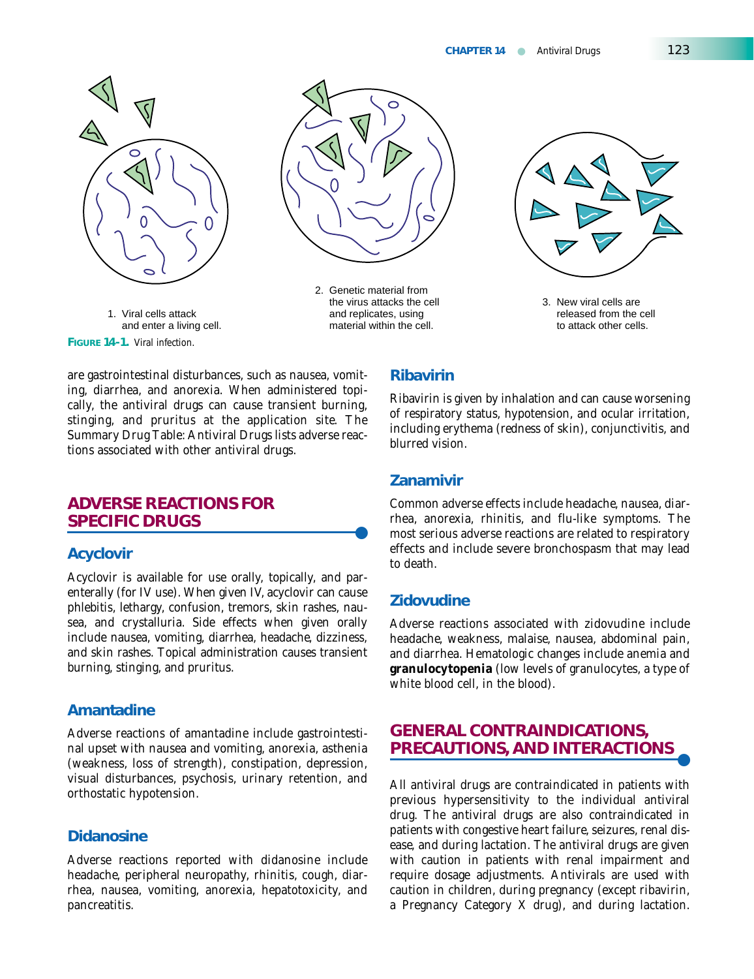



2. Genetic material from the virus attacks the cell and replicates, using material within the cell.



3. New viral cells are released from the cell to attack other cells.

**FIGURE 14-1.** Viral infection.

are gastrointestinal disturbances, such as nausea, vomiting, diarrhea, and anorexia. When administered topically, the antiviral drugs can cause transient burning, stinging, and pruritus at the application site. The Summary Drug Table: Antiviral Drugs lists adverse reactions associated with other antiviral drugs.

# **ADVERSE REACTIONS FOR SPECIFIC DRUGS**

### **Acyclovir**

Acyclovir is available for use orally, topically, and parenterally (for IV use). When given IV, acyclovir can cause phlebitis, lethargy, confusion, tremors, skin rashes, nausea, and crystalluria. Side effects when given orally include nausea, vomiting, diarrhea, headache, dizziness, and skin rashes. Topical administration causes transient burning, stinging, and pruritus.

## **Amantadine**

Adverse reactions of amantadine include gastrointestinal upset with nausea and vomiting, anorexia, asthenia (weakness, loss of strength), constipation, depression, visual disturbances, psychosis, urinary retention, and orthostatic hypotension.

# **Didanosine**

Adverse reactions reported with didanosine include headache, peripheral neuropathy, rhinitis, cough, diarrhea, nausea, vomiting, anorexia, hepatotoxicity, and pancreatitis.

# **Ribavirin**

Ribavirin is given by inhalation and can cause worsening of respiratory status, hypotension, and ocular irritation, including erythema (redness of skin), conjunctivitis, and blurred vision.

## **Zanamivir**

Common adverse effects include headache, nausea, diarrhea, anorexia, rhinitis, and flu-like symptoms. The most serious adverse reactions are related to respiratory effects and include severe bronchospasm that may lead to death.

#### **Zidovudine**

Adverse reactions associated with zidovudine include headache, weakness, malaise, nausea, abdominal pain, and diarrhea. Hematologic changes include anemia and **granulocytopenia** (low levels of granulocytes, a type of white blood cell, in the blood).

# **GENERAL CONTRAINDICATIONS, PRECAUTIONS, AND INTERACTIONS**

All antiviral drugs are contraindicated in patients with previous hypersensitivity to the individual antiviral drug. The antiviral drugs are also contraindicated in patients with congestive heart failure, seizures, renal disease, and during lactation. The antiviral drugs are given with caution in patients with renal impairment and require dosage adjustments. Antivirals are used with caution in children, during pregnancy (except ribavirin, a Pregnancy Category X drug), and during lactation.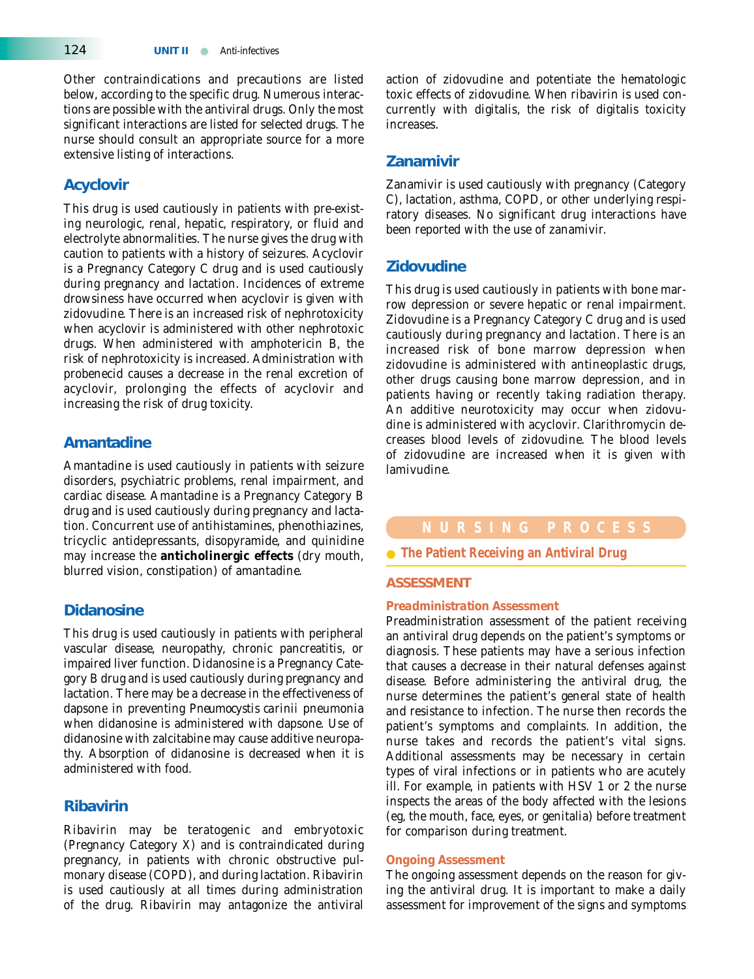Other contraindications and precautions are listed below, according to the specific drug. Numerous interactions are possible with the antiviral drugs. Only the most significant interactions are listed for selected drugs. The nurse should consult an appropriate source for a more extensive listing of interactions.

#### **Acyclovir**

This drug is used cautiously in patients with pre-existing neurologic, renal, hepatic, respiratory, or fluid and electrolyte abnormalities. The nurse gives the drug with caution to patients with a history of seizures. Acyclovir is a Pregnancy Category C drug and is used cautiously during pregnancy and lactation. Incidences of extreme drowsiness have occurred when acyclovir is given with zidovudine. There is an increased risk of nephrotoxicity when acyclovir is administered with other nephrotoxic drugs. When administered with amphotericin B, the risk of nephrotoxicity is increased. Administration with probenecid causes a decrease in the renal excretion of acyclovir, prolonging the effects of acyclovir and increasing the risk of drug toxicity.

#### **Amantadine**

Amantadine is used cautiously in patients with seizure disorders, psychiatric problems, renal impairment, and cardiac disease. Amantadine is a Pregnancy Category B drug and is used cautiously during pregnancy and lactation. Concurrent use of antihistamines, phenothiazines, tricyclic antidepressants, disopyramide, and quinidine may increase the **anticholinergic effects** (dry mouth, blurred vision, constipation) of amantadine.

#### **Didanosine**

This drug is used cautiously in patients with peripheral vascular disease, neuropathy, chronic pancreatitis, or impaired liver function. Didanosine is a Pregnancy Category B drug and is used cautiously during pregnancy and lactation. There may be a decrease in the effectiveness of dapsone in preventing *Pneumocystis carinii* pneumonia when didanosine is administered with dapsone. Use of didanosine with zalcitabine may cause additive neuropathy. Absorption of didanosine is decreased when it is administered with food.

## **Ribavirin**

Ribavirin may be teratogenic and embryotoxic (Pregnancy Category X) and is contraindicated during pregnancy, in patients with chronic obstructive pulmonary disease (COPD), and during lactation. Ribavirin is used cautiously at all times during administration of the drug. Ribavirin may antagonize the antiviral action of zidovudine and potentiate the hematologic toxic effects of zidovudine. When ribavirin is used concurrently with digitalis, the risk of digitalis toxicity increases.

#### **Zanamivir**

Zanamivir is used cautiously with pregnancy (Category C), lactation, asthma, COPD, or other underlying respiratory diseases. No significant drug interactions have been reported with the use of zanamivir.

#### **Zidovudine**

This drug is used cautiously in patients with bone marrow depression or severe hepatic or renal impairment. Zidovudine is a Pregnancy Category C drug and is used cautiously during pregnancy and lactation. There is an increased risk of bone marrow depression when zidovudine is administered with antineoplastic drugs, other drugs causing bone marrow depression, and in patients having or recently taking radiation therapy. An additive neurotoxicity may occur when zidovudine is administered with acyclovir. Clarithromycin decreases blood levels of zidovudine. The blood levels of zidovudine are increased when it is given with lamivudine.

### ● **The Patient Receiving an Antiviral Drug**

#### **ASSESSMENT**

#### *Preadministration Assessment*

Preadministration assessment of the patient receiving an antiviral drug depends on the patient's symptoms or diagnosis. These patients may have a serious infection that causes a decrease in their natural defenses against disease. Before administering the antiviral drug, the nurse determines the patient's general state of health and resistance to infection. The nurse then records the patient's symptoms and complaints. In addition, the nurse takes and records the patient's vital signs. Additional assessments may be necessary in certain types of viral infections or in patients who are acutely ill. For example, in patients with HSV 1 or 2 the nurse inspects the areas of the body affected with the lesions (eg, the mouth, face, eyes, or genitalia) before treatment for comparison during treatment.

#### *Ongoing Assessment*

The ongoing assessment depends on the reason for giving the antiviral drug. It is important to make a daily assessment for improvement of the signs and symptoms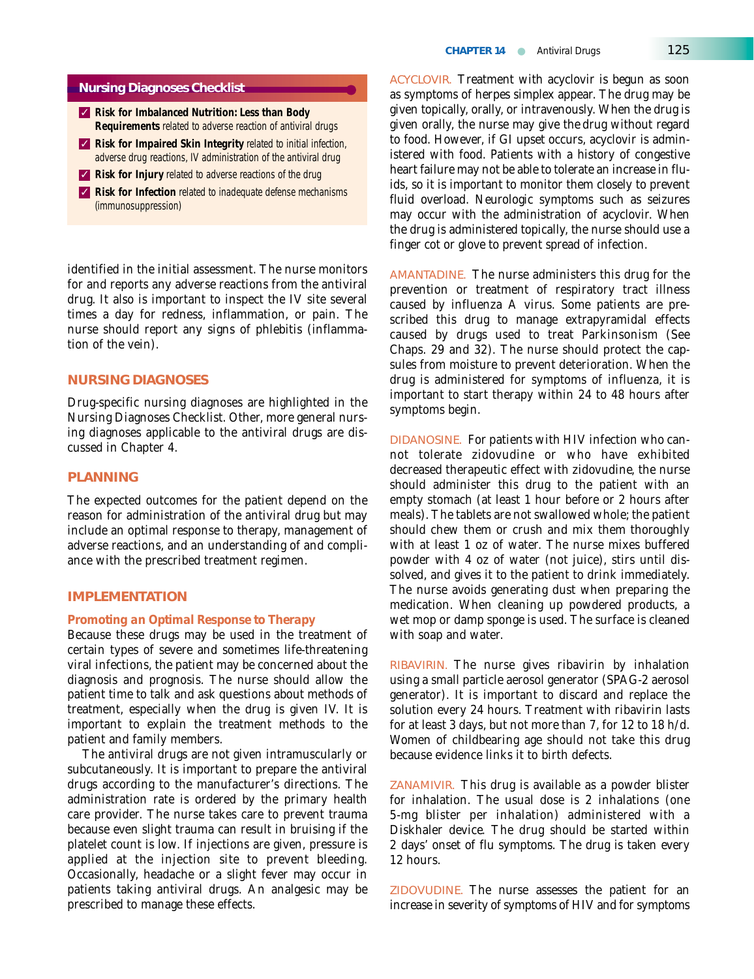- ✓ **Risk for Imbalanced Nutrition: Less than Body Requirements** related to adverse reaction of antiviral drugs
- ✓ **Risk for Impaired Skin Integrity** related to initial infection, adverse drug reactions, IV administration of the antiviral drug
- **✓ Risk for Injury** related to adverse reactions of the drug
- ✓ **Risk for Infection** related to inadequate defense mechanisms (immunosuppression)

identified in the initial assessment. The nurse monitors for and reports any adverse reactions from the antiviral drug. It also is important to inspect the IV site several times a day for redness, inflammation, or pain. The nurse should report any signs of phlebitis (inflammation of the vein).

#### **NURSING DIAGNOSES**

Drug-specific nursing diagnoses are highlighted in the Nursing Diagnoses Checklist. Other, more general nursing diagnoses applicable to the antiviral drugs are discussed in Chapter 4.

#### **PLANNING**

The expected outcomes for the patient depend on the reason for administration of the antiviral drug but may include an optimal response to therapy, management of adverse reactions, and an understanding of and compliance with the prescribed treatment regimen.

#### **IMPLEMENTATION**

#### *Promoting an Optimal Response to Therapy*

Because these drugs may be used in the treatment of certain types of severe and sometimes life-threatening viral infections, the patient may be concerned about the diagnosis and prognosis. The nurse should allow the patient time to talk and ask questions about methods of treatment, especially when the drug is given IV. It is important to explain the treatment methods to the patient and family members.

The antiviral drugs are not given intramuscularly or subcutaneously. It is important to prepare the antiviral drugs according to the manufacturer's directions. The administration rate is ordered by the primary health care provider. The nurse takes care to prevent trauma because even slight trauma can result in bruising if the platelet count is low. If injections are given, pressure is applied at the injection site to prevent bleeding. Occasionally, headache or a slight fever may occur in patients taking antiviral drugs. An analgesic may be prescribed to manage these effects.

ACYCLOVIR. Treatment with acyclovir is begun as soon as symptoms of herpes simplex appear. The drug may be given topically, orally, or intravenously. When the drug is given orally, the nurse may give the drug without regard to food. However, if GI upset occurs, acyclovir is administered with food. Patients with a history of congestive heart failure may not be able to tolerate an increase in fluids, so it is important to monitor them closely to prevent fluid overload. Neurologic symptoms such as seizures may occur with the administration of acyclovir. When the drug is administered topically, the nurse should use a finger cot or glove to prevent spread of infection.

AMANTADINE. The nurse administers this drug for the prevention or treatment of respiratory tract illness caused by influenza A virus. Some patients are prescribed this drug to manage extrapyramidal effects caused by drugs used to treat Parkinsonism (See Chaps. 29 and 32). The nurse should protect the capsules from moisture to prevent deterioration. When the drug is administered for symptoms of influenza, it is important to start therapy within 24 to 48 hours after symptoms begin.

DIDANOSINE. For patients with HIV infection who cannot tolerate zidovudine or who have exhibited decreased therapeutic effect with zidovudine, the nurse should administer this drug to the patient with an empty stomach (at least 1 hour before or 2 hours after meals). The tablets are not swallowed whole; the patient should chew them or crush and mix them thoroughly with at least 1 oz of water. The nurse mixes buffered powder with 4 oz of water (not juice), stirs until dissolved, and gives it to the patient to drink immediately. The nurse avoids generating dust when preparing the medication. When cleaning up powdered products, a wet mop or damp sponge is used. The surface is cleaned with soap and water.

RIBAVIRIN. The nurse gives ribavirin by inhalation using a small particle aerosol generator (SPAG-2 aerosol generator). It is important to discard and replace the solution every 24 hours. Treatment with ribavirin lasts for at least 3 days, but not more than 7, for 12 to 18 h/d. Women of childbearing age should not take this drug because evidence links it to birth defects.

ZANAMIVIR. This drug is available as a powder blister for inhalation. The usual dose is 2 inhalations (one 5-mg blister per inhalation) administered with a Diskhaler device. The drug should be started within 2 days' onset of flu symptoms. The drug is taken every 12 hours.

ZIDOVUDINE. The nurse assesses the patient for an increase in severity of symptoms of HIV and for symptoms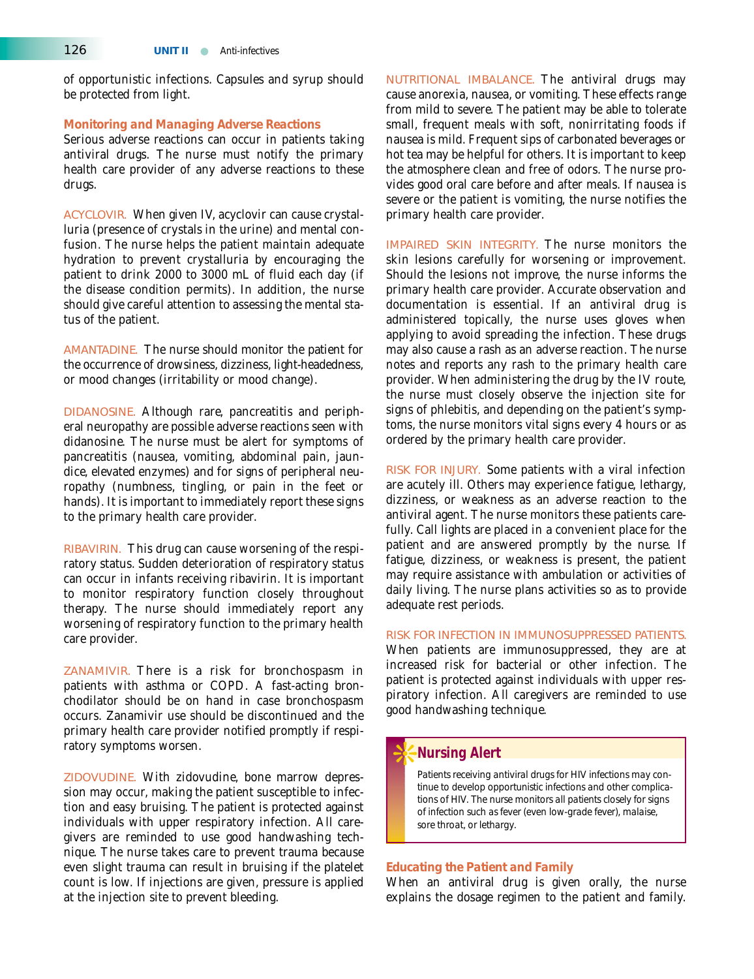of opportunistic infections. Capsules and syrup should be protected from light.

#### *Monitoring and Managing Adverse Reactions*

Serious adverse reactions can occur in patients taking antiviral drugs. The nurse must notify the primary health care provider of any adverse reactions to these drugs.

ACYCLOVIR. When given IV, acyclovir can cause crystalluria (presence of crystals in the urine) and mental confusion. The nurse helps the patient maintain adequate hydration to prevent crystalluria by encouraging the patient to drink 2000 to 3000 mL of fluid each day (if the disease condition permits). In addition, the nurse should give careful attention to assessing the mental status of the patient.

AMANTADINE. The nurse should monitor the patient for the occurrence of drowsiness, dizziness, light-headedness, or mood changes (irritability or mood change).

DIDANOSINE. Although rare, pancreatitis and peripheral neuropathy are possible adverse reactions seen with didanosine. The nurse must be alert for symptoms of pancreatitis (nausea, vomiting, abdominal pain, jaundice, elevated enzymes) and for signs of peripheral neuropathy (numbness, tingling, or pain in the feet or hands). It is important to immediately report these signs to the primary health care provider.

RIBAVIRIN. This drug can cause worsening of the respiratory status. Sudden deterioration of respiratory status can occur in infants receiving ribavirin. It is important to monitor respiratory function closely throughout therapy. The nurse should immediately report any worsening of respiratory function to the primary health care provider.

ZANAMIVIR. There is a risk for bronchospasm in patients with asthma or COPD. A fast-acting bronchodilator should be on hand in case bronchospasm occurs. Zanamivir use should be discontinued and the primary health care provider notified promptly if respiratory symptoms worsen.

ZIDOVUDINE. With zidovudine, bone marrow depression may occur, making the patient susceptible to infection and easy bruising. The patient is protected against individuals with upper respiratory infection. All caregivers are reminded to use good handwashing technique. The nurse takes care to prevent trauma because even slight trauma can result in bruising if the platelet count is low. If injections are given, pressure is applied at the injection site to prevent bleeding.

NUTRITIONAL IMBALANCE. The antiviral drugs may cause anorexia, nausea, or vomiting. These effects range from mild to severe. The patient may be able to tolerate small, frequent meals with soft, nonirritating foods if nausea is mild. Frequent sips of carbonated beverages or hot tea may be helpful for others. It is important to keep the atmosphere clean and free of odors. The nurse provides good oral care before and after meals. If nausea is severe or the patient is vomiting, the nurse notifies the primary health care provider.

IMPAIRED SKIN INTEGRITY. The nurse monitors the skin lesions carefully for worsening or improvement. Should the lesions not improve, the nurse informs the primary health care provider. Accurate observation and documentation is essential. If an antiviral drug is administered topically, the nurse uses gloves when applying to avoid spreading the infection. These drugs may also cause a rash as an adverse reaction. The nurse notes and reports any rash to the primary health care provider. When administering the drug by the IV route, the nurse must closely observe the injection site for signs of phlebitis, and depending on the patient's symptoms, the nurse monitors vital signs every 4 hours or as ordered by the primary health care provider.

RISK FOR INJURY. Some patients with a viral infection are acutely ill. Others may experience fatigue, lethargy, dizziness, or weakness as an adverse reaction to the antiviral agent. The nurse monitors these patients carefully. Call lights are placed in a convenient place for the patient and are answered promptly by the nurse. If fatigue, dizziness, or weakness is present, the patient may require assistance with ambulation or activities of daily living. The nurse plans activities so as to provide adequate rest periods.

RISK FOR INFECTION IN IMMUNOSUPPRESSED PATIENTS.

When patients are immunosuppressed, they are at increased risk for bacterial or other infection. The patient is protected against individuals with upper respiratory infection. All caregivers are reminded to use good handwashing technique.

### ❊**Nursing Alert**

*Patients receiving antiviral drugs for HIV infections may continue to develop opportunistic infections and other complications of HIV. The nurse monitors all patients closely for signs of infection such as fever (even low-grade fever), malaise, sore throat, or lethargy.*

#### *Educating the Patient and Family*

When an antiviral drug is given orally, the nurse explains the dosage regimen to the patient and family.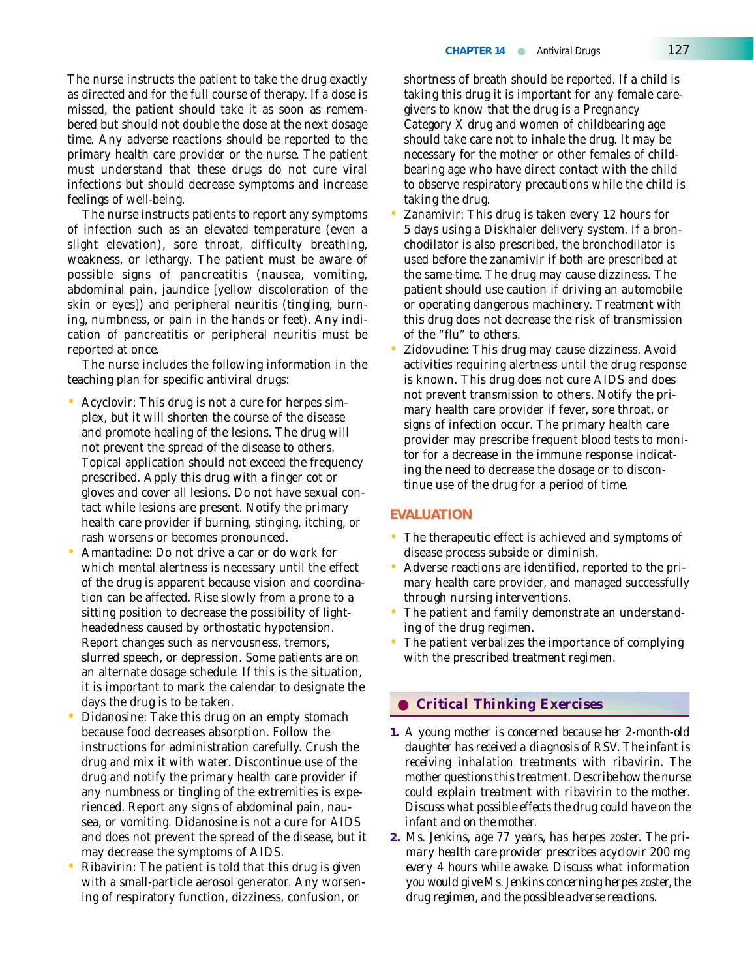The nurse instructs the patient to take the drug exactly as directed and for the full course of therapy. If a dose is missed, the patient should take it as soon as remembered but should not double the dose at the next dosage time. Any adverse reactions should be reported to the primary health care provider or the nurse. The patient must understand that these drugs do not cure viral infections but should decrease symptoms and increase feelings of well-being.

The nurse instructs patients to report any symptoms of infection such as an elevated temperature (even a slight elevation), sore throat, difficulty breathing, weakness, or lethargy. The patient must be aware of possible signs of pancreatitis (nausea, vomiting, abdominal pain, jaundice [yellow discoloration of the skin or eyes]) and peripheral neuritis (tingling, burning, numbness, or pain in the hands or feet). Any indication of pancreatitis or peripheral neuritis must be reported at once.

The nurse includes the following information in the teaching plan for specific antiviral drugs:

- Acyclovir: This drug is not a cure for herpes simplex, but it will shorten the course of the disease and promote healing of the lesions. The drug will not prevent the spread of the disease to others. Topical application should not exceed the frequency prescribed. Apply this drug with a finger cot or gloves and cover all lesions. Do not have sexual contact while lesions are present. Notify the primary health care provider if burning, stinging, itching, or rash worsens or becomes pronounced.
- Amantadine: Do not drive a car or do work for which mental alertness is necessary until the effect of the drug is apparent because vision and coordination can be affected. Rise slowly from a prone to a sitting position to decrease the possibility of lightheadedness caused by orthostatic hypotension. Report changes such as nervousness, tremors, slurred speech, or depression. Some patients are on an alternate dosage schedule. If this is the situation, it is important to mark the calendar to designate the days the drug is to be taken.
- Didanosine: Take this drug on an empty stomach because food decreases absorption. Follow the instructions for administration carefully. Crush the drug and mix it with water. Discontinue use of the drug and notify the primary health care provider if any numbness or tingling of the extremities is experienced. Report any signs of abdominal pain, nausea, or vomiting. Didanosine is not a cure for AIDS and does not prevent the spread of the disease, but it may decrease the symptoms of AIDS.
- Ribavirin: The patient is told that this drug is given with a small-particle aerosol generator. Any worsening of respiratory function, dizziness, confusion, or

shortness of breath should be reported. If a child is taking this drug it is important for any female caregivers to know that the drug is a Pregnancy Category X drug and women of childbearing age should take care not to inhale the drug. It may be necessary for the mother or other females of childbearing age who have direct contact with the child to observe respiratory precautions while the child is taking the drug.

- Zanamivir: This drug is taken every 12 hours for 5 days using a Diskhaler delivery system. If a bronchodilator is also prescribed, the bronchodilator is used before the zanamivir if both are prescribed at the same time. The drug may cause dizziness. The patient should use caution if driving an automobile or operating dangerous machinery. Treatment with this drug does not decrease the risk of transmission of the "flu" to others.
- Zidovudine: This drug may cause dizziness. Avoid activities requiring alertness until the drug response is known. This drug does not cure AIDS and does not prevent transmission to others. Notify the primary health care provider if fever, sore throat, or signs of infection occur. The primary health care provider may prescribe frequent blood tests to monitor for a decrease in the immune response indicating the need to decrease the dosage or to discontinue use of the drug for a period of time.

#### **EVALUATION**

- The therapeutic effect is achieved and symptoms of disease process subside or diminish.
- Adverse reactions are identified, reported to the primary health care provider, and managed successfully through nursing interventions.
- The patient and family demonstrate an understanding of the drug regimen.
- The patient verbalizes the importance of complying with the prescribed treatment regimen.

#### ● *Critical Thinking Exercises*

- **1.** *A young mother is concerned because her 2-month-old daughter has received a diagnosis of RSV. The infant is receiving inhalation treatments with ribavirin. The mother questions this treatment. Describe how the nurse could explain treatment with ribavirin to the mother. Discuss what possible effects the drug could have on the infant and on the mother.*
- **2.** *Ms. Jenkins, age 77 years, has herpes zoster. The primary health care provider prescribes acyclovir 200 mg every 4 hours while awake. Discuss what information you would give Ms. Jenkins concerning herpes zoster, the drug regimen, and the possible adverse reactions.*